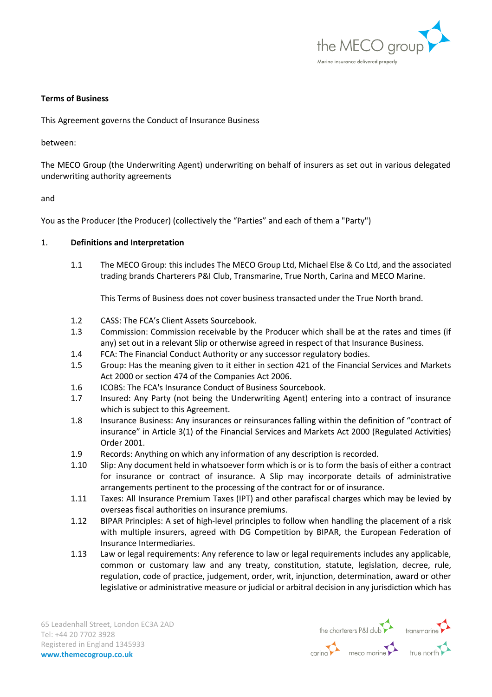

#### **Terms of Business**

This Agreement governs the Conduct of Insurance Business

between:

The MECO Group (the Underwriting Agent) underwriting on behalf of insurers as set out in various delegated underwriting authority agreements

and

You as the Producer (the Producer) (collectively the "Parties" and each of them a "Party")

### 1. **Definitions and Interpretation**

1.1 The MECO Group: this includes The MECO Group Ltd, Michael Else & Co Ltd, and the associated trading brands Charterers P&I Club, Transmarine, True North, Carina and MECO Marine.

This Terms of Business does not cover business transacted under the True North brand.

- 1.2 CASS: The FCA's Client Assets Sourcebook.
- 1.3 Commission: Commission receivable by the Producer which shall be at the rates and times (if any) set out in a relevant Slip or otherwise agreed in respect of that Insurance Business.
- 1.4 FCA: The Financial Conduct Authority or any successor regulatory bodies.
- 1.5 Group: Has the meaning given to it either in section 421 of the Financial Services and Markets Act 2000 or section 474 of the Companies Act 2006.
- 1.6 ICOBS: The FCA's Insurance Conduct of Business Sourcebook.
- 1.7 Insured: Any Party (not being the Underwriting Agent) entering into a contract of insurance which is subject to this Agreement.
- 1.8 Insurance Business: Any insurances or reinsurances falling within the definition of "contract of insurance" in Article 3(1) of the Financial Services and Markets Act 2000 (Regulated Activities) Order 2001.
- 1.9 Records: Anything on which any information of any description is recorded.
- 1.10 Slip: Any document held in whatsoever form which is or is to form the basis of either a contract for insurance or contract of insurance. A Slip may incorporate details of administrative arrangements pertinent to the processing of the contract for or of insurance.
- 1.11 Taxes: All Insurance Premium Taxes (IPT) and other parafiscal charges which may be levied by overseas fiscal authorities on insurance premiums.
- 1.12 BIPAR Principles: A set of high-level principles to follow when handling the placement of a risk with multiple insurers, agreed with DG Competition by BIPAR, the European Federation of Insurance Intermediaries.
- 1.13 Law or legal requirements: Any reference to law or legal requirements includes any applicable, common or customary law and any treaty, constitution, statute, legislation, decree, rule, regulation, code of practice, judgement, order, writ, injunction, determination, award or other legislative or administrative measure or judicial or arbitral decision in any jurisdiction which has

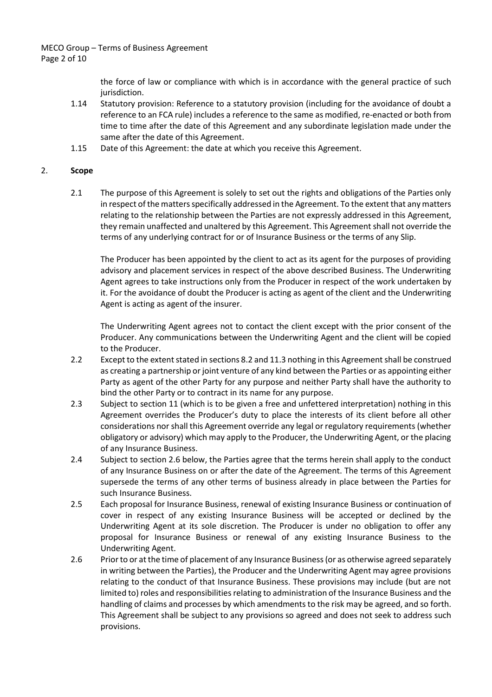MECO Group – Terms of Business Agreement Page 2 of 10

> the force of law or compliance with which is in accordance with the general practice of such jurisdiction.

- 1.14 Statutory provision: Reference to a statutory provision (including for the avoidance of doubt a reference to an FCA rule) includes a reference to the same as modified, re-enacted or both from time to time after the date of this Agreement and any subordinate legislation made under the same after the date of this Agreement.
- 1.15 Date of this Agreement: the date at which you receive this Agreement.

### 2. **Scope**

2.1 The purpose of this Agreement is solely to set out the rights and obligations of the Parties only in respect of the matters specifically addressed in the Agreement. To the extent that any matters relating to the relationship between the Parties are not expressly addressed in this Agreement, they remain unaffected and unaltered by this Agreement. This Agreement shall not override the terms of any underlying contract for or of Insurance Business or the terms of any Slip.

The Producer has been appointed by the client to act as its agent for the purposes of providing advisory and placement services in respect of the above described Business. The Underwriting Agent agrees to take instructions only from the Producer in respect of the work undertaken by it. For the avoidance of doubt the Producer is acting as agent of the client and the Underwriting Agent is acting as agent of the insurer.

The Underwriting Agent agrees not to contact the client except with the prior consent of the Producer. Any communications between the Underwriting Agent and the client will be copied to the Producer.

- 2.2 Except to the extent stated in sections 8.2 and 11.3 nothing in this Agreement shall be construed as creating a partnership or joint venture of any kind between the Parties or as appointing either Party as agent of the other Party for any purpose and neither Party shall have the authority to bind the other Party or to contract in its name for any purpose.
- 2.3 Subject to section 11 (which is to be given a free and unfettered interpretation) nothing in this Agreement overrides the Producer's duty to place the interests of its client before all other considerations nor shall this Agreement override any legal or regulatory requirements (whether obligatory or advisory) which may apply to the Producer, the Underwriting Agent, or the placing of any Insurance Business.
- 2.4 Subject to section 2.6 below, the Parties agree that the terms herein shall apply to the conduct of any Insurance Business on or after the date of the Agreement. The terms of this Agreement supersede the terms of any other terms of business already in place between the Parties for such Insurance Business.
- 2.5 Each proposal for Insurance Business, renewal of existing Insurance Business or continuation of cover in respect of any existing Insurance Business will be accepted or declined by the Underwriting Agent at its sole discretion. The Producer is under no obligation to offer any proposal for Insurance Business or renewal of any existing Insurance Business to the Underwriting Agent.
- 2.6 Prior to or at the time of placement of any Insurance Business (or as otherwise agreed separately in writing between the Parties), the Producer and the Underwriting Agent may agree provisions relating to the conduct of that Insurance Business. These provisions may include (but are not limited to) roles and responsibilities relating to administration of the Insurance Business and the handling of claims and processes by which amendments to the risk may be agreed, and so forth. This Agreement shall be subject to any provisions so agreed and does not seek to address such provisions.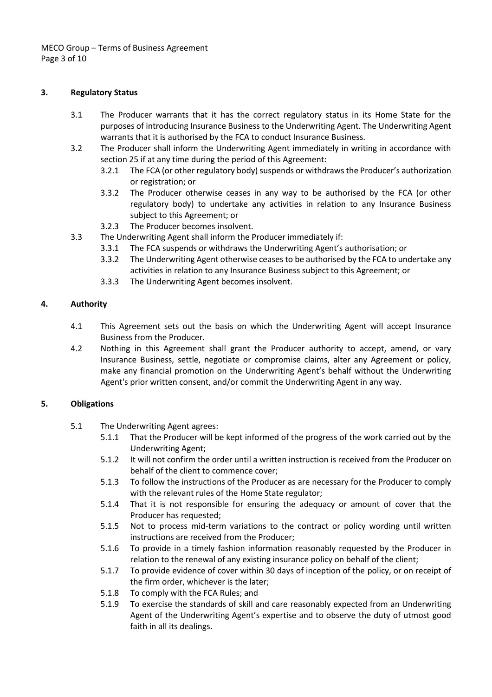MECO Group – Terms of Business Agreement Page 3 of 10

### **3. Regulatory Status**

- 3.1 The Producer warrants that it has the correct regulatory status in its Home State for the purposes of introducing Insurance Business to the Underwriting Agent. The Underwriting Agent warrants that it is authorised by the FCA to conduct Insurance Business.
- 3.2 The Producer shall inform the Underwriting Agent immediately in writing in accordance with section 25 if at any time during the period of this Agreement:
	- 3.2.1 The FCA (or other regulatory body) suspends or withdraws the Producer's authorization or registration; or
	- 3.3.2 The Producer otherwise ceases in any way to be authorised by the FCA (or other regulatory body) to undertake any activities in relation to any Insurance Business subject to this Agreement; or
	- 3.2.3 The Producer becomes insolvent.
- 3.3 The Underwriting Agent shall inform the Producer immediately if:
	- 3.3.1 The FCA suspends or withdraws the Underwriting Agent's authorisation; or
	- 3.3.2 The Underwriting Agent otherwise ceases to be authorised by the FCA to undertake any activities in relation to any Insurance Business subject to this Agreement; or
	- 3.3.3 The Underwriting Agent becomes insolvent.

### **4. Authority**

- 4.1 This Agreement sets out the basis on which the Underwriting Agent will accept Insurance Business from the Producer.
- 4.2 Nothing in this Agreement shall grant the Producer authority to accept, amend, or vary Insurance Business, settle, negotiate or compromise claims, alter any Agreement or policy, make any financial promotion on the Underwriting Agent's behalf without the Underwriting Agent's prior written consent, and/or commit the Underwriting Agent in any way.

# **5. Obligations**

- 5.1 The Underwriting Agent agrees:
	- 5.1.1 That the Producer will be kept informed of the progress of the work carried out by the Underwriting Agent;
	- 5.1.2 It will not confirm the order until a written instruction is received from the Producer on behalf of the client to commence cover;
	- 5.1.3 To follow the instructions of the Producer as are necessary for the Producer to comply with the relevant rules of the Home State regulator;
	- 5.1.4 That it is not responsible for ensuring the adequacy or amount of cover that the Producer has requested;
	- 5.1.5 Not to process mid-term variations to the contract or policy wording until written instructions are received from the Producer;
	- 5.1.6 To provide in a timely fashion information reasonably requested by the Producer in relation to the renewal of any existing insurance policy on behalf of the client;
	- 5.1.7 To provide evidence of cover within 30 days of inception of the policy, or on receipt of the firm order, whichever is the later;
	- 5.1.8 To comply with the FCA Rules; and
	- 5.1.9 To exercise the standards of skill and care reasonably expected from an Underwriting Agent of the Underwriting Agent's expertise and to observe the duty of utmost good faith in all its dealings.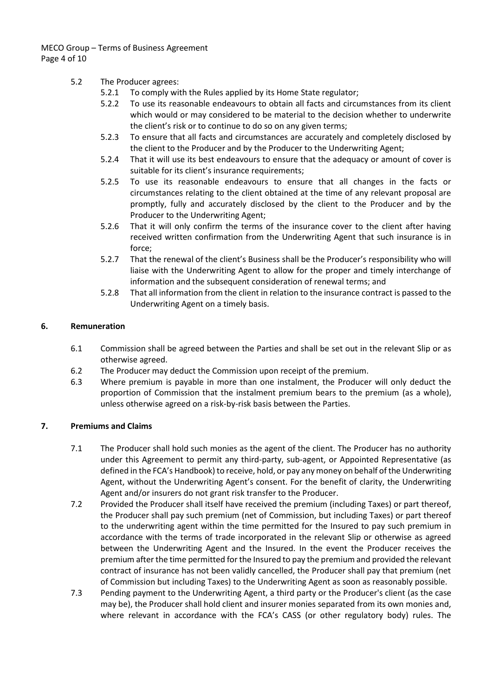MECO Group – Terms of Business Agreement Page 4 of 10

## 5.2 The Producer agrees:

- 5.2.1 To comply with the Rules applied by its Home State regulator;
- 5.2.2 To use its reasonable endeavours to obtain all facts and circumstances from its client which would or may considered to be material to the decision whether to underwrite the client's risk or to continue to do so on any given terms;
- 5.2.3 To ensure that all facts and circumstances are accurately and completely disclosed by the client to the Producer and by the Producer to the Underwriting Agent;
- 5.2.4 That it will use its best endeavours to ensure that the adequacy or amount of cover is suitable for its client's insurance requirements;
- 5.2.5 To use its reasonable endeavours to ensure that all changes in the facts or circumstances relating to the client obtained at the time of any relevant proposal are promptly, fully and accurately disclosed by the client to the Producer and by the Producer to the Underwriting Agent;
- 5.2.6 That it will only confirm the terms of the insurance cover to the client after having received written confirmation from the Underwriting Agent that such insurance is in force;
- 5.2.7 That the renewal of the client's Business shall be the Producer's responsibility who will liaise with the Underwriting Agent to allow for the proper and timely interchange of information and the subsequent consideration of renewal terms; and
- 5.2.8 That all information from the client in relation to the insurance contract is passed to the Underwriting Agent on a timely basis.

## **6. Remuneration**

- 6.1 Commission shall be agreed between the Parties and shall be set out in the relevant Slip or as otherwise agreed.
- 6.2 The Producer may deduct the Commission upon receipt of the premium.
- 6.3 Where premium is payable in more than one instalment, the Producer will only deduct the proportion of Commission that the instalment premium bears to the premium (as a whole), unless otherwise agreed on a risk-by-risk basis between the Parties.

# **7. Premiums and Claims**

- 7.1 The Producer shall hold such monies as the agent of the client. The Producer has no authority under this Agreement to permit any third-party, sub-agent, or Appointed Representative (as defined in the FCA's Handbook) to receive, hold, or pay any money on behalf of the Underwriting Agent, without the Underwriting Agent's consent. For the benefit of clarity, the Underwriting Agent and/or insurers do not grant risk transfer to the Producer.
- 7.2 Provided the Producer shall itself have received the premium (including Taxes) or part thereof, the Producer shall pay such premium (net of Commission, but including Taxes) or part thereof to the underwriting agent within the time permitted for the Insured to pay such premium in accordance with the terms of trade incorporated in the relevant Slip or otherwise as agreed between the Underwriting Agent and the Insured. In the event the Producer receives the premium after the time permitted for the Insured to pay the premium and provided the relevant contract of insurance has not been validly cancelled, the Producer shall pay that premium (net of Commission but including Taxes) to the Underwriting Agent as soon as reasonably possible.
- 7.3 Pending payment to the Underwriting Agent, a third party or the Producer's client (as the case may be), the Producer shall hold client and insurer monies separated from its own monies and, where relevant in accordance with the FCA's CASS (or other regulatory body) rules. The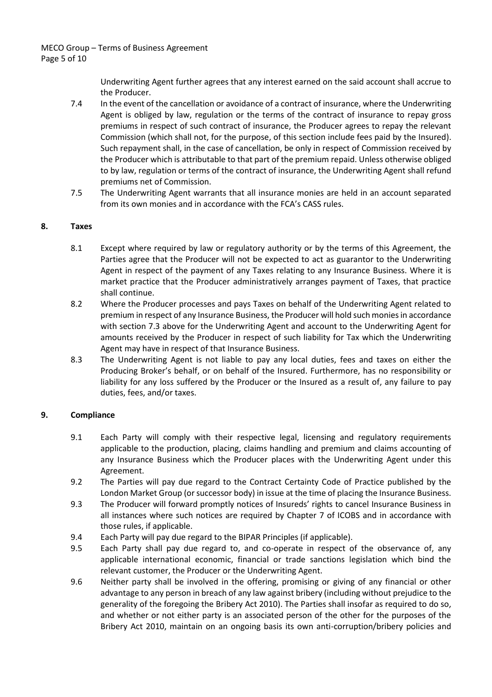MECO Group – Terms of Business Agreement Page 5 of 10

> Underwriting Agent further agrees that any interest earned on the said account shall accrue to the Producer.

- 7.4 In the event of the cancellation or avoidance of a contract of insurance, where the Underwriting Agent is obliged by law, regulation or the terms of the contract of insurance to repay gross premiums in respect of such contract of insurance, the Producer agrees to repay the relevant Commission (which shall not, for the purpose, of this section include fees paid by the Insured). Such repayment shall, in the case of cancellation, be only in respect of Commission received by the Producer which is attributable to that part of the premium repaid. Unless otherwise obliged to by law, regulation or terms of the contract of insurance, the Underwriting Agent shall refund premiums net of Commission.
- 7.5 The Underwriting Agent warrants that all insurance monies are held in an account separated from its own monies and in accordance with the FCA's CASS rules.

### **8. Taxes**

- 8.1 Except where required by law or regulatory authority or by the terms of this Agreement, the Parties agree that the Producer will not be expected to act as guarantor to the Underwriting Agent in respect of the payment of any Taxes relating to any Insurance Business. Where it is market practice that the Producer administratively arranges payment of Taxes, that practice shall continue.
- 8.2 Where the Producer processes and pays Taxes on behalf of the Underwriting Agent related to premium in respect of any Insurance Business, the Producer will hold such monies in accordance with section 7.3 above for the Underwriting Agent and account to the Underwriting Agent for amounts received by the Producer in respect of such liability for Tax which the Underwriting Agent may have in respect of that Insurance Business.
- 8.3 The Underwriting Agent is not liable to pay any local duties, fees and taxes on either the Producing Broker's behalf, or on behalf of the Insured. Furthermore, has no responsibility or liability for any loss suffered by the Producer or the Insured as a result of, any failure to pay duties, fees, and/or taxes.

### **9. Compliance**

- 9.1 Each Party will comply with their respective legal, licensing and regulatory requirements applicable to the production, placing, claims handling and premium and claims accounting of any Insurance Business which the Producer places with the Underwriting Agent under this Agreement.
- 9.2 The Parties will pay due regard to the Contract Certainty Code of Practice published by the London Market Group (or successor body) in issue at the time of placing the Insurance Business.
- 9.3 The Producer will forward promptly notices of Insureds' rights to cancel Insurance Business in all instances where such notices are required by Chapter 7 of ICOBS and in accordance with those rules, if applicable.
- 9.4 Each Party will pay due regard to the BIPAR Principles (if applicable).
- 9.5 Each Party shall pay due regard to, and co-operate in respect of the observance of, any applicable international economic, financial or trade sanctions legislation which bind the relevant customer, the Producer or the Underwriting Agent.
- 9.6 Neither party shall be involved in the offering, promising or giving of any financial or other advantage to any person in breach of any law against bribery (including without prejudice to the generality of the foregoing the Bribery Act 2010). The Parties shall insofar as required to do so, and whether or not either party is an associated person of the other for the purposes of the Bribery Act 2010, maintain on an ongoing basis its own anti-corruption/bribery policies and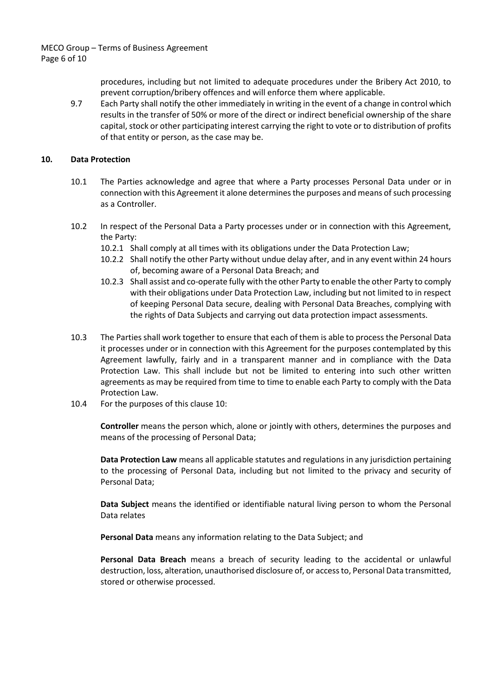MECO Group – Terms of Business Agreement Page 6 of 10

> procedures, including but not limited to adequate procedures under the Bribery Act 2010, to prevent corruption/bribery offences and will enforce them where applicable.

9.7 Each Party shall notify the other immediately in writing in the event of a change in control which results in the transfer of 50% or more of the direct or indirect beneficial ownership of the share capital, stock or other participating interest carrying the right to vote or to distribution of profits of that entity or person, as the case may be.

### **10. Data Protection**

- 10.1 The Parties acknowledge and agree that where a Party processes Personal Data under or in connection with this Agreement it alone determines the purposes and means of such processing as a Controller.
- 10.2 In respect of the Personal Data a Party processes under or in connection with this Agreement, the Party:
	- 10.2.1 Shall comply at all times with its obligations under the Data Protection Law;
	- 10.2.2 Shall notify the other Party without undue delay after, and in any event within 24 hours of, becoming aware of a Personal Data Breach; and
	- 10.2.3 Shall assist and co-operate fully with the other Party to enable the other Party to comply with their obligations under Data Protection Law, including but not limited to in respect of keeping Personal Data secure, dealing with Personal Data Breaches, complying with the rights of Data Subjects and carrying out data protection impact assessments.
- 10.3 The Parties shall work together to ensure that each of them is able to process the Personal Data it processes under or in connection with this Agreement for the purposes contemplated by this Agreement lawfully, fairly and in a transparent manner and in compliance with the Data Protection Law. This shall include but not be limited to entering into such other written agreements as may be required from time to time to enable each Party to comply with the Data Protection Law.
- 10.4 For the purposes of this clause 10:

**Controller** means the person which, alone or jointly with others, determines the purposes and means of the processing of Personal Data;

**Data Protection Law** means all applicable statutes and regulations in any jurisdiction pertaining to the processing of Personal Data, including but not limited to the privacy and security of Personal Data;

**Data Subject** means the identified or identifiable natural living person to whom the Personal Data relates

**Personal Data** means any information relating to the Data Subject; and

**Personal Data Breach** means a breach of security leading to the accidental or unlawful destruction, loss, alteration, unauthorised disclosure of, or access to, Personal Data transmitted, stored or otherwise processed.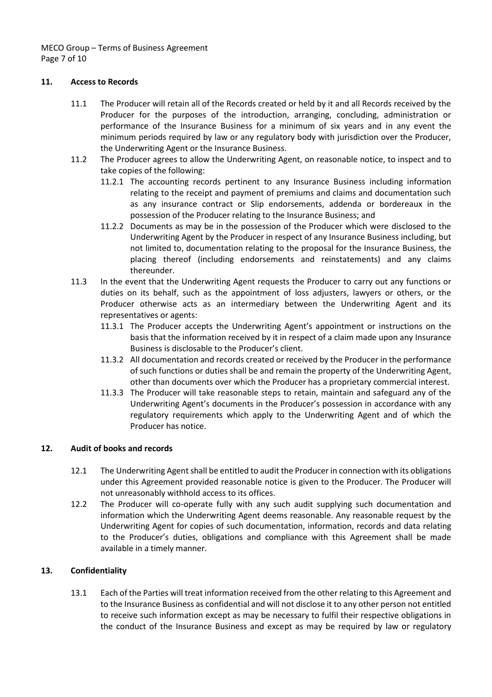MECO Group – Terms of Business Agreement Page 7 of 10

### **11. Access to Records**

- 11.1 The Producer will retain all of the Records created or held by it and all Records received by the Producer for the purposes of the introduction, arranging, concluding, administration or performance of the Insurance Business for a minimum of six years and in any event the minimum periods required by law or any regulatory body with jurisdiction over the Producer, the Underwriting Agent or the Insurance Business.
- 11.2 The Producer agrees to allow the Underwriting Agent, on reasonable notice, to inspect and to take copies of the following:
	- 11.2.1 The accounting records pertinent to any Insurance Business including information relating to the receipt and payment of premiums and claims and documentation such as any insurance contract or Slip endorsements, addenda or bordereaux in the possession of the Producer relating to the Insurance Business; and
	- 11.2.2 Documents as may be in the possession of the Producer which were disclosed to the Underwriting Agent by the Producer in respect of any Insurance Business including, but not limited to, documentation relating to the proposal for the Insurance Business, the placing thereof (including endorsements and reinstatements) and any claims thereunder.
- 11.3 In the event that the Underwriting Agent requests the Producer to carry out any functions or duties on its behalf, such as the appointment of loss adjusters, lawyers or others, or the Producer otherwise acts as an intermediary between the Underwriting Agent and its representatives or agents:
	- 11.3.1 The Producer accepts the Underwriting Agent's appointment or instructions on the basis that the information received by it in respect of a claim made upon any Insurance Business is disclosable to the Producer's client.
	- 11.3.2 All documentation and records created or received by the Producer in the performance of such functions or duties shall be and remain the property of the Underwriting Agent, other than documents over which the Producer has a proprietary commercial interest.
	- 11.3.3 The Producer will take reasonable steps to retain, maintain and safeguard any of the Underwriting Agent's documents in the Producer's possession in accordance with any regulatory requirements which apply to the Underwriting Agent and of which the Producer has notice.

### **12. Audit of books and records**

- 12.1 The Underwriting Agent shall be entitled to audit the Producer in connection with its obligations under this Agreement provided reasonable notice is given to the Producer. The Producer will not unreasonably withhold access to its offices.
- 12.2 The Producer will co-operate fully with any such audit supplying such documentation and information which the Underwriting Agent deems reasonable. Any reasonable request by the Underwriting Agent for copies of such documentation, information, records and data relating to the Producer's duties, obligations and compliance with this Agreement shall be made available in a timely manner.

# **13. Confidentiality**

13.1 Each of the Parties will treat information received from the other relating to this Agreement and to the Insurance Business as confidential and will not disclose it to any other person not entitled to receive such information except as may be necessary to fulfil their respective obligations in the conduct of the Insurance Business and except as may be required by law or regulatory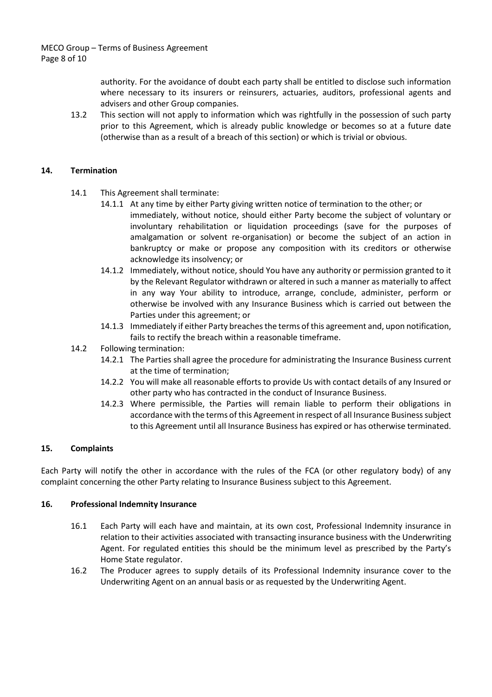authority. For the avoidance of doubt each party shall be entitled to disclose such information where necessary to its insurers or reinsurers, actuaries, auditors, professional agents and advisers and other Group companies.

13.2 This section will not apply to information which was rightfully in the possession of such party prior to this Agreement, which is already public knowledge or becomes so at a future date (otherwise than as a result of a breach of this section) or which is trivial or obvious.

## **14. Termination**

- 14.1 This Agreement shall terminate:
	- 14.1.1 At any time by either Party giving written notice of termination to the other; or immediately, without notice, should either Party become the subject of voluntary or involuntary rehabilitation or liquidation proceedings (save for the purposes of amalgamation or solvent re-organisation) or become the subject of an action in bankruptcy or make or propose any composition with its creditors or otherwise acknowledge its insolvency; or
	- 14.1.2 Immediately, without notice, should You have any authority or permission granted to it by the Relevant Regulator withdrawn or altered in such a manner as materially to affect in any way Your ability to introduce, arrange, conclude, administer, perform or otherwise be involved with any Insurance Business which is carried out between the Parties under this agreement; or
	- 14.1.3 Immediately if either Party breaches the terms of this agreement and, upon notification, fails to rectify the breach within a reasonable timeframe.
- 14.2 Following termination:
	- 14.2.1 The Parties shall agree the procedure for administrating the Insurance Business current at the time of termination;
	- 14.2.2 You will make all reasonable efforts to provide Us with contact details of any Insured or other party who has contracted in the conduct of Insurance Business.
	- 14.2.3 Where permissible, the Parties will remain liable to perform their obligations in accordance with the terms of this Agreement in respect of all Insurance Business subject to this Agreement until all Insurance Business has expired or has otherwise terminated.

### **15. Complaints**

Each Party will notify the other in accordance with the rules of the FCA (or other regulatory body) of any complaint concerning the other Party relating to Insurance Business subject to this Agreement.

### **16. Professional Indemnity Insurance**

- 16.1 Each Party will each have and maintain, at its own cost, Professional Indemnity insurance in relation to their activities associated with transacting insurance business with the Underwriting Agent. For regulated entities this should be the minimum level as prescribed by the Party's Home State regulator.
- 16.2 The Producer agrees to supply details of its Professional Indemnity insurance cover to the Underwriting Agent on an annual basis or as requested by the Underwriting Agent.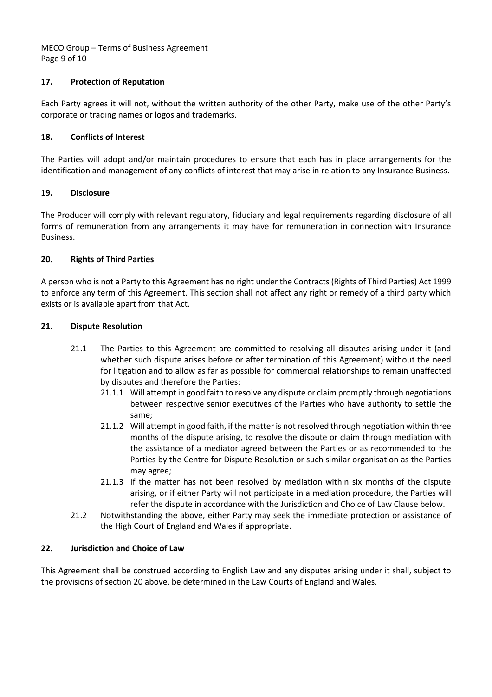MECO Group – Terms of Business Agreement Page 9 of 10

# **17. Protection of Reputation**

Each Party agrees it will not, without the written authority of the other Party, make use of the other Party's corporate or trading names or logos and trademarks.

## **18. Conflicts of Interest**

The Parties will adopt and/or maintain procedures to ensure that each has in place arrangements for the identification and management of any conflicts of interest that may arise in relation to any Insurance Business.

## **19. Disclosure**

The Producer will comply with relevant regulatory, fiduciary and legal requirements regarding disclosure of all forms of remuneration from any arrangements it may have for remuneration in connection with Insurance Business.

## **20. Rights of Third Parties**

A person who is not a Party to this Agreement has no right under the Contracts (Rights of Third Parties) Act 1999 to enforce any term of this Agreement. This section shall not affect any right or remedy of a third party which exists or is available apart from that Act.

### **21. Dispute Resolution**

- 21.1 The Parties to this Agreement are committed to resolving all disputes arising under it (and whether such dispute arises before or after termination of this Agreement) without the need for litigation and to allow as far as possible for commercial relationships to remain unaffected by disputes and therefore the Parties:
	- 21.1.1 Will attempt in good faith to resolve any dispute or claim promptly through negotiations between respective senior executives of the Parties who have authority to settle the same;
	- 21.1.2 Will attempt in good faith, if the matter is not resolved through negotiation within three months of the dispute arising, to resolve the dispute or claim through mediation with the assistance of a mediator agreed between the Parties or as recommended to the Parties by the Centre for Dispute Resolution or such similar organisation as the Parties may agree;
	- 21.1.3 If the matter has not been resolved by mediation within six months of the dispute arising, or if either Party will not participate in a mediation procedure, the Parties will refer the dispute in accordance with the Jurisdiction and Choice of Law Clause below.
- 21.2 Notwithstanding the above, either Party may seek the immediate protection or assistance of the High Court of England and Wales if appropriate.

## **22. Jurisdiction and Choice of Law**

This Agreement shall be construed according to English Law and any disputes arising under it shall, subject to the provisions of section 20 above, be determined in the Law Courts of England and Wales.